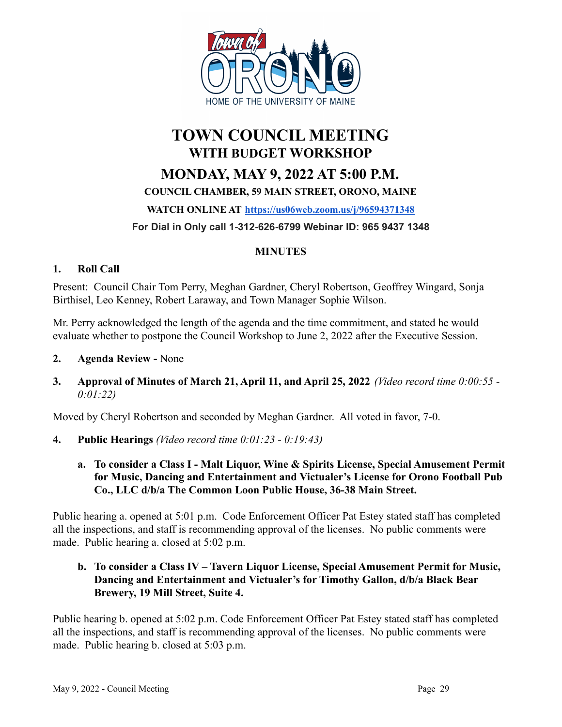

# **TOWN COUNCIL MEETING WITH BUDGET WORKSHOP MONDAY, MAY 9, 2022 AT 5:00 P.M. COUNCIL CHAMBER, 59 MAIN STREET, ORONO, MAINE WATCH ONLINE AT <https://us06web.zoom.us/j/96594371348>**

## **For Dial in Only call 1-312-626-6799 Webinar ID: 965 9437 1348**

## **MINUTES**

#### **1. Roll Call**

Present: Council Chair Tom Perry, Meghan Gardner, Cheryl Robertson, Geoffrey Wingard, Sonja Birthisel, Leo Kenney, Robert Laraway, and Town Manager Sophie Wilson.

Mr. Perry acknowledged the length of the agenda and the time commitment, and stated he would evaluate whether to postpone the Council Workshop to June 2, 2022 after the Executive Session.

- **2. Agenda Review -** None
- **3. Approval of Minutes of March 21, April 11, and April 25, 2022** *(Video record time 0:00:55 - 0:01:22)*

Moved by Cheryl Robertson and seconded by Meghan Gardner. All voted in favor, 7-0.

- **4. Public Hearings** *(Video record time 0:01:23 0:19:43)*
	- **a. To consider a Class I Malt Liquor, Wine & Spirits License, Special Amusement Permit for Music, Dancing and Entertainment and Victualer's License for Orono Football Pub Co., LLC d/b/a The Common Loon Public House, 36-38 Main Street.**

Public hearing a. opened at 5:01 p.m. Code Enforcement Officer Pat Estey stated staff has completed all the inspections, and staff is recommending approval of the licenses. No public comments were made. Public hearing a. closed at 5:02 p.m.

#### **b. To consider a Class IV – Tavern Liquor License, Special Amusement Permit for Music, Dancing and Entertainment and Victualer's for Timothy Gallon, d/b/a Black Bear Brewery, 19 Mill Street, Suite 4.**

Public hearing b. opened at 5:02 p.m. Code Enforcement Officer Pat Estey stated staff has completed all the inspections, and staff is recommending approval of the licenses. No public comments were made. Public hearing b. closed at 5:03 p.m.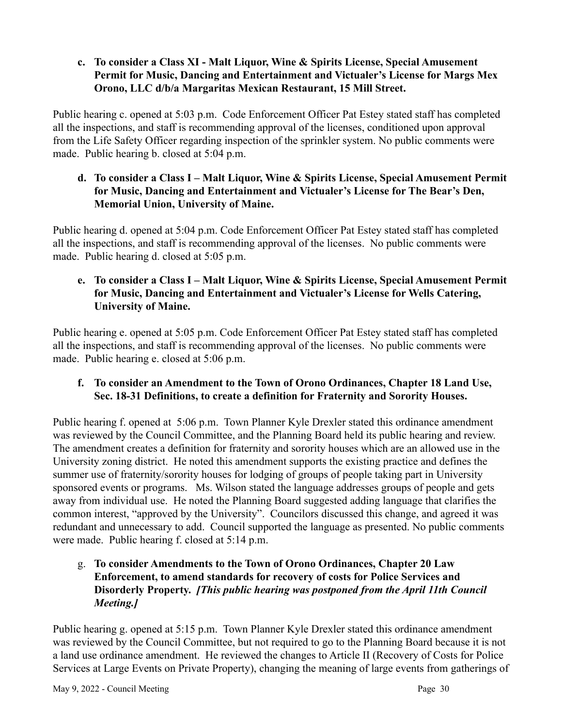### **c. To consider a Class XI - Malt Liquor, Wine & Spirits License, Special Amusement Permit for Music, Dancing and Entertainment and Victualer's License for Margs Mex Orono, LLC d/b/a Margaritas Mexican Restaurant, 15 Mill Street.**

Public hearing c. opened at 5:03 p.m. Code Enforcement Officer Pat Estey stated staff has completed all the inspections, and staff is recommending approval of the licenses, conditioned upon approval from the Life Safety Officer regarding inspection of the sprinkler system. No public comments were made. Public hearing b. closed at 5:04 p.m.

#### **d. To consider a Class I – Malt Liquor, Wine & Spirits License, Special Amusement Permit for Music, Dancing and Entertainment and Victualer's License for The Bear's Den, Memorial Union, University of Maine.**

Public hearing d. opened at 5:04 p.m. Code Enforcement Officer Pat Estey stated staff has completed all the inspections, and staff is recommending approval of the licenses. No public comments were made. Public hearing d. closed at 5:05 p.m.

### **e. To consider a Class I – Malt Liquor, Wine & Spirits License, Special Amusement Permit for Music, Dancing and Entertainment and Victualer's License for Wells Catering, University of Maine.**

Public hearing e. opened at 5:05 p.m. Code Enforcement Officer Pat Estey stated staff has completed all the inspections, and staff is recommending approval of the licenses. No public comments were made. Public hearing e. closed at 5:06 p.m.

## **f. To consider an Amendment to the Town of Orono Ordinances, Chapter 18 Land Use, Sec. 18-31 Definitions, to create a definition for Fraternity and Sorority Houses.**

Public hearing f. opened at 5:06 p.m. Town Planner Kyle Drexler stated this ordinance amendment was reviewed by the Council Committee, and the Planning Board held its public hearing and review. The amendment creates a definition for fraternity and sorority houses which are an allowed use in the University zoning district. He noted this amendment supports the existing practice and defines the summer use of fraternity/sorority houses for lodging of groups of people taking part in University sponsored events or programs. Ms. Wilson stated the language addresses groups of people and gets away from individual use. He noted the Planning Board suggested adding language that clarifies the common interest, "approved by the University". Councilors discussed this change, and agreed it was redundant and unnecessary to add. Council supported the language as presented. No public comments were made. Public hearing f. closed at 5:14 p.m.

### g. **To consider Amendments to the Town of Orono Ordinances, Chapter 20 Law Enforcement, to amend standards for recovery of costs for Police Services and Disorderly Property.** *[This public hearing was postponed from the April 11th Council Meeting.]*

Public hearing g. opened at 5:15 p.m. Town Planner Kyle Drexler stated this ordinance amendment was reviewed by the Council Committee, but not required to go to the Planning Board because it is not a land use ordinance amendment. He reviewed the changes to Article II (Recovery of Costs for Police Services at Large Events on Private Property), changing the meaning of large events from gatherings of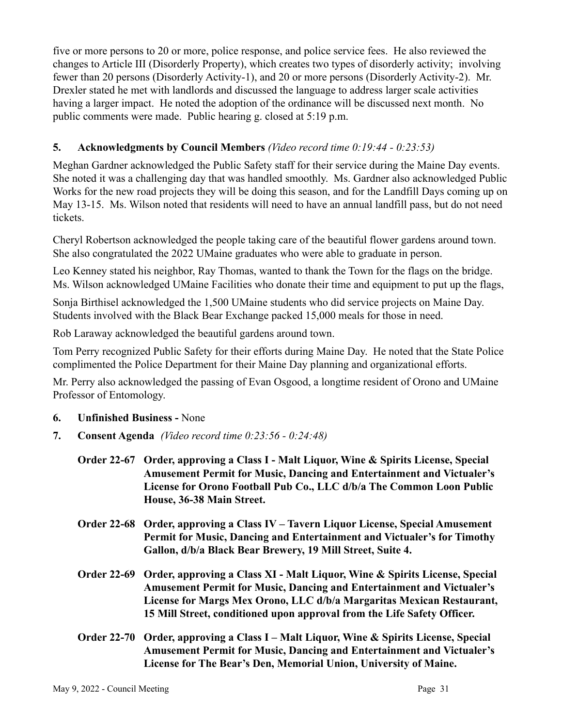five or more persons to 20 or more, police response, and police service fees. He also reviewed the changes to Article III (Disorderly Property), which creates two types of disorderly activity; involving fewer than 20 persons (Disorderly Activity-1), and 20 or more persons (Disorderly Activity-2). Mr. Drexler stated he met with landlords and discussed the language to address larger scale activities having a larger impact. He noted the adoption of the ordinance will be discussed next month. No public comments were made. Public hearing g. closed at 5:19 p.m.

## **5. Acknowledgments by Council Members** *(Video record time 0:19:44 - 0:23:53)*

Meghan Gardner acknowledged the Public Safety staff for their service during the Maine Day events. She noted it was a challenging day that was handled smoothly. Ms. Gardner also acknowledged Public Works for the new road projects they will be doing this season, and for the Landfill Days coming up on May 13-15. Ms. Wilson noted that residents will need to have an annual landfill pass, but do not need tickets.

Cheryl Robertson acknowledged the people taking care of the beautiful flower gardens around town. She also congratulated the 2022 UMaine graduates who were able to graduate in person.

Leo Kenney stated his neighbor, Ray Thomas, wanted to thank the Town for the flags on the bridge. Ms. Wilson acknowledged UMaine Facilities who donate their time and equipment to put up the flags,

Sonja Birthisel acknowledged the 1,500 UMaine students who did service projects on Maine Day. Students involved with the Black Bear Exchange packed 15,000 meals for those in need.

Rob Laraway acknowledged the beautiful gardens around town.

Tom Perry recognized Public Safety for their efforts during Maine Day. He noted that the State Police complimented the Police Department for their Maine Day planning and organizational efforts.

Mr. Perry also acknowledged the passing of Evan Osgood, a longtime resident of Orono and UMaine Professor of Entomology.

- **6. Unfinished Business -** None
- **7. Consent Agenda** *(Video record time 0:23:56 0:24:48)*

| Order 22-67 Order, approving a Class I - Malt Liquor, Wine & Spirits License, Special |  |
|---------------------------------------------------------------------------------------|--|
| <b>Amusement Permit for Music, Dancing and Entertainment and Victualer's</b>          |  |
| License for Orono Football Pub Co., LLC d/b/a The Common Loon Public                  |  |
| House, 36-38 Main Street.                                                             |  |

- **Order 22-68 Order, approving a Class IV Tavern Liquor License, Special Amusement Permit for Music, Dancing and Entertainment and Victualer's for Timothy Gallon, d/b/a Black Bear Brewery, 19 Mill Street, Suite 4.**
- **Order 22-69 Order, approving a Class XI Malt Liquor, Wine & Spirits License, Special Amusement Permit for Music, Dancing and Entertainment and Victualer's License for Margs Mex Orono, LLC d/b/a Margaritas Mexican Restaurant, 15 Mill Street, conditioned upon approval from the Life Safety Officer.**
- **Order 22-70 Order, approving a Class I Malt Liquor, Wine & Spirits License, Special Amusement Permit for Music, Dancing and Entertainment and Victualer's License for The Bear's Den, Memorial Union, University of Maine.**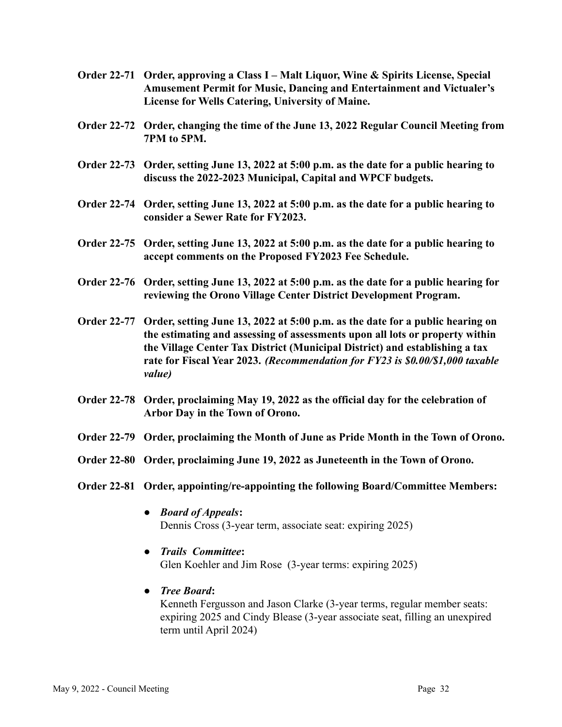- **Order 22-71 Order, approving a Class I Malt Liquor, Wine & Spirits License, Special Amusement Permit for Music, Dancing and Entertainment and Victualer's License for Wells Catering, University of Maine.**
- **Order 22-72 Order, changing the time of the June 13, 2022 Regular Council Meeting from 7PM to 5PM.**
- **Order 22-73 Order, setting June 13, 2022 at 5:00 p.m. as the date for a public hearing to discuss the 2022-2023 Municipal, Capital and WPCF budgets.**
- **Order 22-74 Order, setting June 13, 2022 at 5:00 p.m. as the date for a public hearing to consider a Sewer Rate for FY2023.**
- **Order 22-75 Order, setting June 13, 2022 at 5:00 p.m. as the date for a public hearing to accept comments on the Proposed FY2023 Fee Schedule.**
- **Order 22-76 Order, setting June 13, 2022 at 5:00 p.m. as the date for a public hearing for reviewing the Orono Village Center District Development Program.**
- **Order 22-77 Order, setting June 13, 2022 at 5:00 p.m. as the date for a public hearing on the estimating and assessing of assessments upon all lots or property within the Village Center Tax District (Municipal District) and establishing a tax rate for Fiscal Year 2023.** *(Recommendation for FY23 is \$0.00/\$1,000 taxable value)*
- **Order 22-78 Order, proclaiming May 19, 2022 as the official day for the celebration of Arbor Day in the Town of Orono.**
- **Order 22-79 Order, proclaiming the Month of June as Pride Month in the Town of Orono.**
- **Order 22-80 Order, proclaiming June 19, 2022 as Juneteenth in the Town of Orono.**
- **Order 22-81 Order, appointing/re-appointing the following Board/Committee Members:**
	- **●** *Board of Appeals***:** Dennis Cross (3-year term, associate seat: expiring 2025)
	- **●** *Trails Committee***:**

Glen Koehler and Jim Rose (3-year terms: expiring 2025)

**●** *Tree Board***:** Kenneth Fergusson and Jason Clarke (3-year terms, regular member seats: expiring 2025 and Cindy Blease (3-year associate seat, filling an unexpired term until April 2024)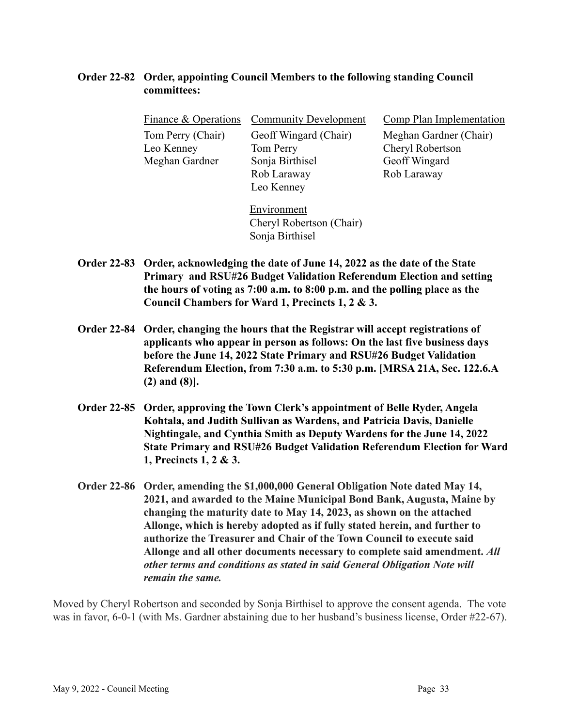#### **Order 22-82 Order, appointing Council Members to the following standing Council committees:**

| Finance & Operations | <b>Community Development</b> | Comp Plan Implementation |
|----------------------|------------------------------|--------------------------|
| Tom Perry (Chair)    | Geoff Wingard (Chair)        | Meghan Gardner (Chair)   |
| Leo Kenney           | Tom Perry                    | Cheryl Robertson         |
| Meghan Gardner       | Sonja Birthisel              | Geoff Wingard            |
|                      | Rob Laraway                  | Rob Laraway              |
|                      | Leo Kenney                   |                          |
|                      | Environment                  |                          |
|                      | Cheryl Robertson (Chair)     |                          |

**Order 22-83 Order, acknowledging the date of June 14, 2022 as the date of the State Primary and RSU#26 Budget Validation Referendum Election and setting the hours of voting as 7:00 a.m. to 8:00 p.m. and the polling place as the Council Chambers for Ward 1, Precincts 1, 2 & 3.**

Sonja Birthisel

- **Order 22-84 Order, changing the hours that the Registrar will accept registrations of applicants who appear in person as follows: On the last five business days before the June 14, 2022 State Primary and RSU#26 Budget Validation Referendum Election, from 7:30 a.m. to 5:30 p.m. [MRSA 21A, Sec. 122.6.A (2) and (8)].**
- **Order 22-85 Order, approving the Town Clerk's appointment of Belle Ryder, Angela Kohtala, and Judith Sullivan as Wardens, and Patricia Davis, Danielle Nightingale, and Cynthia Smith as Deputy Wardens for the June 14, 2022 State Primary and RSU#26 Budget Validation Referendum Election for Ward 1, Precincts 1, 2 & 3.**
- **Order 22-86 Order, amending the \$1,000,000 General Obligation Note dated May 14, 2021, and awarded to the Maine Municipal Bond Bank, Augusta, Maine by changing the maturity date to May 14, 2023, as shown on the attached Allonge, which is hereby adopted as if fully stated herein, and further to authorize the Treasurer and Chair of the Town Council to execute said Allonge and all other documents necessary to complete said amendment.** *All other terms and conditions as stated in said General Obligation Note will remain the same.*

Moved by Cheryl Robertson and seconded by Sonja Birthisel to approve the consent agenda. The vote was in favor, 6-0-1 (with Ms. Gardner abstaining due to her husband's business license, Order #22-67).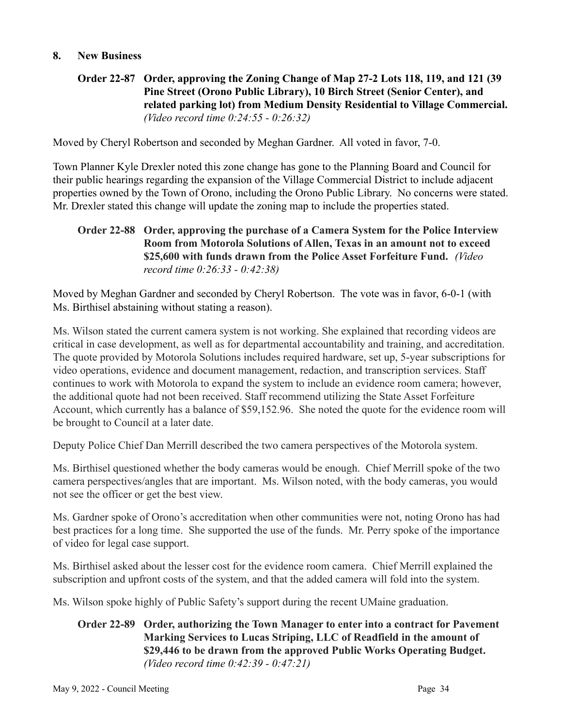#### **8. New Business**

## **Order 22-87 Order, approving the Zoning Change of Map 27-2 Lots 118, 119, and 121 (39 Pine Street (Orono Public Library), 10 Birch Street (Senior Center), and related parking lot) from Medium Density Residential to Village Commercial.** *(Video record time 0:24:55 - 0:26:32)*

Moved by Cheryl Robertson and seconded by Meghan Gardner. All voted in favor, 7-0.

Town Planner Kyle Drexler noted this zone change has gone to the Planning Board and Council for their public hearings regarding the expansion of the Village Commercial District to include adjacent properties owned by the Town of Orono, including the Orono Public Library. No concerns were stated. Mr. Drexler stated this change will update the zoning map to include the properties stated.

#### **Order 22-88 Order, approving the purchase of a Camera System for the Police Interview Room from Motorola Solutions of Allen, Texas in an amount not to exceed \$25,600 with funds drawn from the Police Asset Forfeiture Fund.** *(Video record time 0:26:33 - 0:42:38)*

Moved by Meghan Gardner and seconded by Cheryl Robertson. The vote was in favor, 6-0-1 (with Ms. Birthisel abstaining without stating a reason).

Ms. Wilson stated the current camera system is not working. She explained that recording videos are critical in case development, as well as for departmental accountability and training, and accreditation. The quote provided by Motorola Solutions includes required hardware, set up, 5-year subscriptions for video operations, evidence and document management, redaction, and transcription services. Staff continues to work with Motorola to expand the system to include an evidence room camera; however, the additional quote had not been received. Staff recommend utilizing the State Asset Forfeiture Account, which currently has a balance of \$59,152.96. She noted the quote for the evidence room will be brought to Council at a later date.

Deputy Police Chief Dan Merrill described the two camera perspectives of the Motorola system.

Ms. Birthisel questioned whether the body cameras would be enough. Chief Merrill spoke of the two camera perspectives/angles that are important. Ms. Wilson noted, with the body cameras, you would not see the officer or get the best view.

Ms. Gardner spoke of Orono's accreditation when other communities were not, noting Orono has had best practices for a long time. She supported the use of the funds. Mr. Perry spoke of the importance of video for legal case support.

Ms. Birthisel asked about the lesser cost for the evidence room camera. Chief Merrill explained the subscription and upfront costs of the system, and that the added camera will fold into the system.

Ms. Wilson spoke highly of Public Safety's support during the recent UMaine graduation.

#### **Order 22-89 Order, authorizing the Town Manager to enter into a contract for Pavement Marking Services to Lucas Striping, LLC of Readfield in the amount of \$29,446 to be drawn from the approved Public Works Operating Budget.** *(Video record time 0:42:39 - 0:47:21)*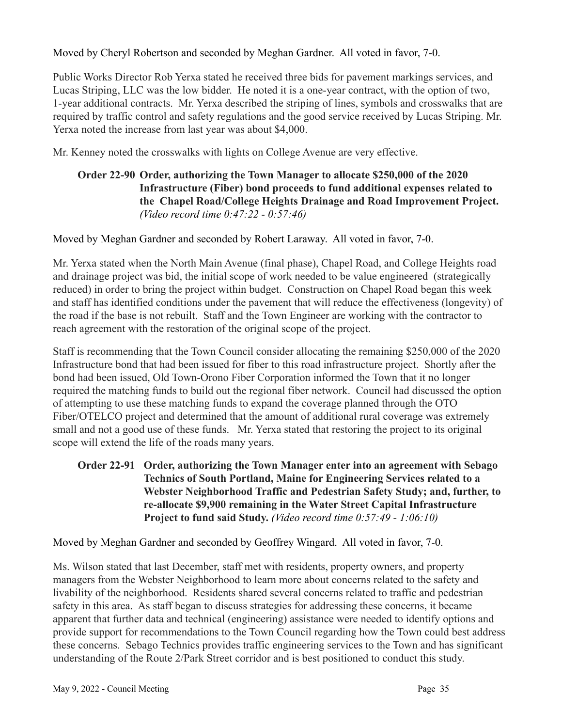Moved by Cheryl Robertson and seconded by Meghan Gardner. All voted in favor, 7-0.

Public Works Director Rob Yerxa stated he received three bids for pavement markings services, and Lucas Striping, LLC was the low bidder. He noted it is a one-year contract, with the option of two, 1-year additional contracts. Mr. Yerxa described the striping of lines, symbols and crosswalks that are required by traffic control and safety regulations and the good service received by Lucas Striping. Mr. Yerxa noted the increase from last year was about \$4,000.

Mr. Kenney noted the crosswalks with lights on College Avenue are very effective.

## **Order 22-90 Order, authorizing the Town Manager to allocate \$250,000 of the 2020 Infrastructure (Fiber) bond proceeds to fund additional expenses related to the Chapel Road/College Heights Drainage and Road Improvement Project.** *(Video record time 0:47:22 - 0:57:46)*

Moved by Meghan Gardner and seconded by Robert Laraway. All voted in favor, 7-0.

Mr. Yerxa stated when the North Main Avenue (final phase), Chapel Road, and College Heights road and drainage project was bid, the initial scope of work needed to be value engineered (strategically reduced) in order to bring the project within budget. Construction on Chapel Road began this week and staff has identified conditions under the pavement that will reduce the effectiveness (longevity) of the road if the base is not rebuilt. Staff and the Town Engineer are working with the contractor to reach agreement with the restoration of the original scope of the project.

Staff is recommending that the Town Council consider allocating the remaining \$250,000 of the 2020 Infrastructure bond that had been issued for fiber to this road infrastructure project. Shortly after the bond had been issued, Old Town-Orono Fiber Corporation informed the Town that it no longer required the matching funds to build out the regional fiber network. Council had discussed the option of attempting to use these matching funds to expand the coverage planned through the OTO Fiber/OTELCO project and determined that the amount of additional rural coverage was extremely small and not a good use of these funds. Mr. Yerxa stated that restoring the project to its original scope will extend the life of the roads many years.

### **Order 22-91 Order, authorizing the Town Manager enter into an agreement with Sebago Technics of South Portland, Maine for Engineering Services related to a Webster Neighborhood Traffic and Pedestrian Safety Study; and, further, to re-allocate \$9,900 remaining in the Water Street Capital Infrastructure Project to fund said Study.** *(Video record time 0:57:49 - 1:06:10)*

Moved by Meghan Gardner and seconded by Geoffrey Wingard. All voted in favor, 7-0.

Ms. Wilson stated that last December, staff met with residents, property owners, and property managers from the Webster Neighborhood to learn more about concerns related to the safety and livability of the neighborhood. Residents shared several concerns related to traffic and pedestrian safety in this area. As staff began to discuss strategies for addressing these concerns, it became apparent that further data and technical (engineering) assistance were needed to identify options and provide support for recommendations to the Town Council regarding how the Town could best address these concerns. Sebago Technics provides traffic engineering services to the Town and has significant understanding of the Route 2/Park Street corridor and is best positioned to conduct this study.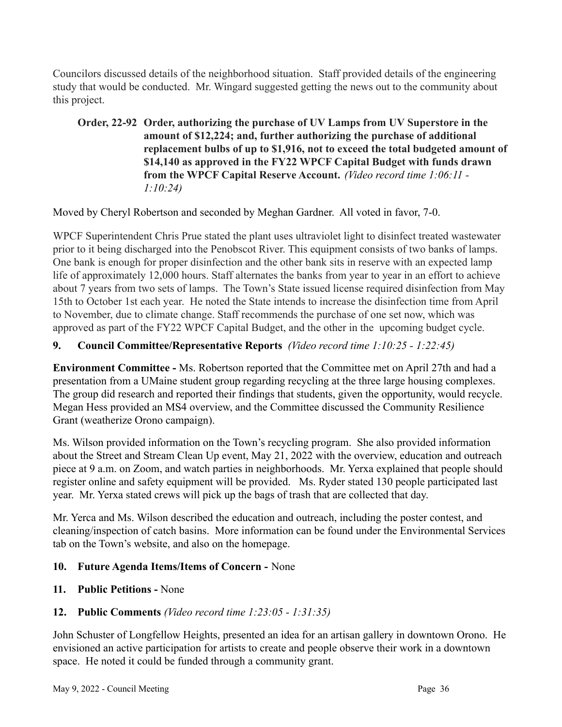Councilors discussed details of the neighborhood situation. Staff provided details of the engineering study that would be conducted. Mr. Wingard suggested getting the news out to the community about this project.

**Order, 22-92 Order, authorizing the purchase of UV Lamps from UV Superstore in the amount of \$12,224; and, further authorizing the purchase of additional replacement bulbs of up to \$1,916, not to exceed the total budgeted amount of \$14,140 as approved in the FY22 WPCF Capital Budget with funds drawn from the WPCF Capital Reserve Account.** *(Video record time 1:06:11 - 1:10:24)*

Moved by Cheryl Robertson and seconded by Meghan Gardner. All voted in favor, 7-0.

WPCF Superintendent Chris Prue stated the plant uses ultraviolet light to disinfect treated wastewater prior to it being discharged into the Penobscot River. This equipment consists of two banks of lamps. One bank is enough for proper disinfection and the other bank sits in reserve with an expected lamp life of approximately 12,000 hours. Staff alternates the banks from year to year in an effort to achieve about 7 years from two sets of lamps. The Town's State issued license required disinfection from May 15th to October 1st each year. He noted the State intends to increase the disinfection time from April to November, due to climate change. Staff recommends the purchase of one set now, which was approved as part of the FY22 WPCF Capital Budget, and the other in the upcoming budget cycle.

## **9. Council Committee/Representative Reports** *(Video record time 1:10:25 - 1:22:45)*

**Environment Committee -** Ms. Robertson reported that the Committee met on April 27th and had a presentation from a UMaine student group regarding recycling at the three large housing complexes. The group did research and reported their findings that students, given the opportunity, would recycle. Megan Hess provided an MS4 overview, and the Committee discussed the Community Resilience Grant (weatherize Orono campaign).

Ms. Wilson provided information on the Town's recycling program. She also provided information about the Street and Stream Clean Up event, May 21, 2022 with the overview, education and outreach piece at 9 a.m. on Zoom, and watch parties in neighborhoods. Mr. Yerxa explained that people should register online and safety equipment will be provided. Ms. Ryder stated 130 people participated last year. Mr. Yerxa stated crews will pick up the bags of trash that are collected that day.

Mr. Yerca and Ms. Wilson described the education and outreach, including the poster contest, and cleaning/inspection of catch basins. More information can be found under the Environmental Services tab on the Town's website, and also on the homepage.

## **10. Future Agenda Items/Items of Concern -** None

- **11. Public Petitions -** None
- **12. Public Comments** *(Video record time 1:23:05 1:31:35)*

John Schuster of Longfellow Heights, presented an idea for an artisan gallery in downtown Orono. He envisioned an active participation for artists to create and people observe their work in a downtown space. He noted it could be funded through a community grant.